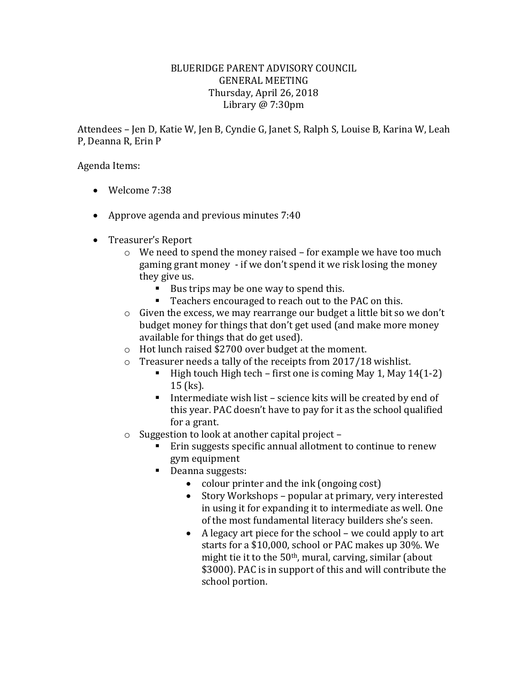## BLUERIDGE PARENT ADVISORY COUNCIL GENERAL MEETING Thursday, April 26, 2018 Library @ 7:30pm

Attendees – Jen D, Katie W, Jen B, Cyndie G, Janet S, Ralph S, Louise B, Karina W, Leah P, Deanna R, Erin P

Agenda Items:

- Welcome 7:38
- Approve agenda and previous minutes 7:40
- Treasurer's Report
	- o We need to spend the money raised for example we have too much gaming grant money - if we don't spend it we risk losing the money they give us.
		- Bus trips may be one way to spend this.
		- Teachers encouraged to reach out to the PAC on this.
	- o Given the excess, we may rearrange our budget a little bit so we don't budget money for things that don't get used (and make more money available for things that do get used).
	- o Hot lunch raised \$2700 over budget at the moment.
	- o Treasurer needs a tally of the receipts from 2017/18 wishlist.
		- $\blacksquare$  High touch High tech first one is coming May 1, May 14(1-2) 15 (ks).
		- Intermediate wish list science kits will be created by end of this year. PAC doesn't have to pay for it as the school qualified for a grant.
	- o Suggestion to look at another capital project
		- **Erin suggests specific annual allotment to continue to renew** gym equipment
		- Deanna suggests:
			- colour printer and the ink (ongoing cost)
			- Story Workshops popular at primary, very interested in using it for expanding it to intermediate as well. One of the most fundamental literacy builders she's seen.
			- A legacy art piece for the school we could apply to art starts for a \$10,000, school or PAC makes up 30%. We might tie it to the 50th, mural, carving, similar (about \$3000). PAC is in support of this and will contribute the school portion.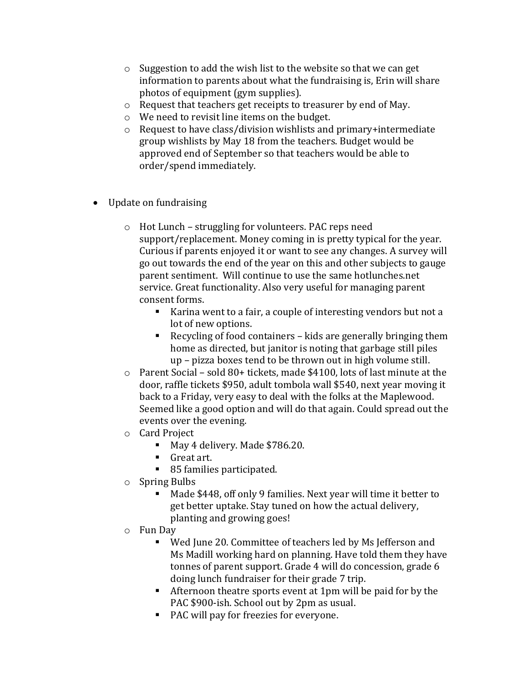- o Suggestion to add the wish list to the website so that we can get information to parents about what the fundraising is, Erin will share photos of equipment (gym supplies).
- o Request that teachers get receipts to treasurer by end of May.
- o We need to revisit line items on the budget.
- o Request to have class/division wishlists and primary+intermediate group wishlists by May 18 from the teachers. Budget would be approved end of September so that teachers would be able to order/spend immediately.
- Update on fundraising
	- o Hot Lunch struggling for volunteers. PAC reps need support/replacement. Money coming in is pretty typical for the year. Curious if parents enjoyed it or want to see any changes. A survey will go out towards the end of the year on this and other subjects to gauge parent sentiment. Will continue to use the same hotlunches.net service. Great functionality. Also very useful for managing parent consent forms.
		- Karina went to a fair, a couple of interesting vendors but not a lot of new options.
		- Recycling of food containers kids are generally bringing them home as directed, but janitor is noting that garbage still piles up – pizza boxes tend to be thrown out in high volume still.
	- o Parent Social sold 80+ tickets, made \$4100, lots of last minute at the door, raffle tickets \$950, adult tombola wall \$540, next year moving it back to a Friday, very easy to deal with the folks at the Maplewood. Seemed like a good option and will do that again. Could spread out the events over the evening.
	- o Card Project
		- May 4 delivery. Made \$786.20.
		- Great art.
		- 85 families participated.
	- o Spring Bulbs
		- Made \$448, off only 9 families. Next year will time it better to get better uptake. Stay tuned on how the actual delivery, planting and growing goes!
	- o Fun Day
		- Wed June 20. Committee of teachers led by Ms Jefferson and Ms Madill working hard on planning. Have told them they have tonnes of parent support. Grade 4 will do concession, grade 6 doing lunch fundraiser for their grade 7 trip.
		- Afternoon theatre sports event at 1pm will be paid for by the PAC \$900-ish. School out by 2pm as usual.
		- PAC will pay for freezies for everyone.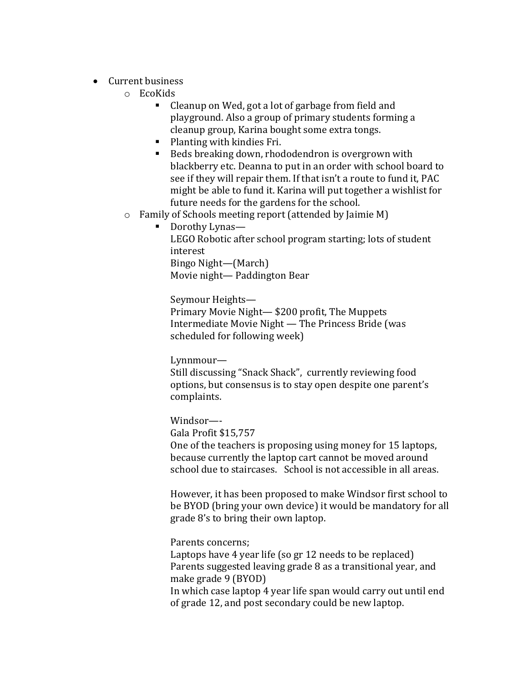- Current business
	- o EcoKids
		- Cleanup on Wed, got a lot of garbage from field and playground. Also a group of primary students forming a cleanup group, Karina bought some extra tongs.
		- Planting with kindies Fri.
		- Beds breaking down, rhododendron is overgrown with blackberry etc. Deanna to put in an order with school board to see if they will repair them. If that isn't a route to fund it, PAC might be able to fund it. Karina will put together a wishlist for future needs for the gardens for the school.
	- o Family of Schools meeting report (attended by Jaimie M)
		- Dorothy Lynas—

LEGO Robotic after school program starting; lots of student interest Bingo Night—(March) Movie night— Paddington Bear

Seymour Heights— Primary Movie Night— \$200 profit, The Muppets Intermediate Movie Night — The Princess Bride (was scheduled for following week)

Lynnmour— Still discussing "Snack Shack", currently reviewing food options, but consensus is to stay open despite one parent's complaints.

Windsor—- Gala Profit \$15,757 One of the teachers is proposing using money for 15 laptops, because currently the laptop cart cannot be moved around school due to staircases. School is not accessible in all areas.

However, it has been proposed to make Windsor first school to be BYOD (bring your own device) it would be mandatory for all grade 8's to bring their own laptop.

Parents concerns; Laptops have 4 year life (so gr 12 needs to be replaced) Parents suggested leaving grade 8 as a transitional year, and make grade 9 (BYOD) In which case laptop 4 year life span would carry out until end of grade 12, and post secondary could be new laptop.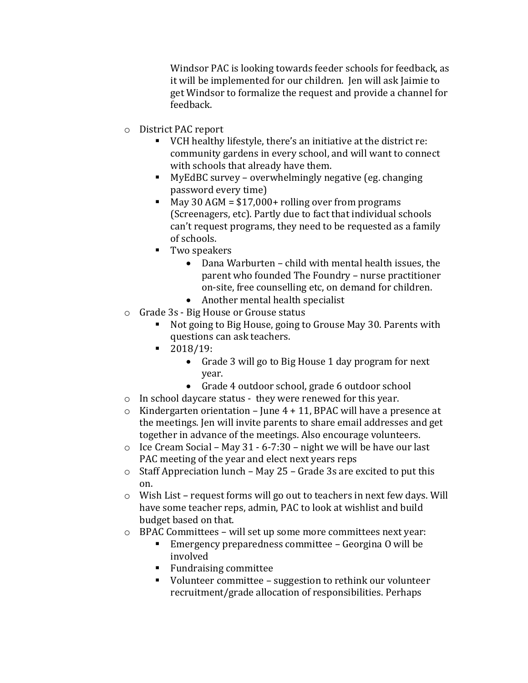Windsor PAC is looking towards feeder schools for feedback, as it will be implemented for our children. Jen will ask Jaimie to get Windsor to formalize the request and provide a channel for feedback.

- o District PAC report
	- VCH healthy lifestyle, there's an initiative at the district re: community gardens in every school, and will want to connect with schools that already have them.
	- MyEdBC survey overwhelmingly negative (eg. changing password every time)
	- $May 30 AGM = $17,000+ rolling over from programs$ (Screenagers, etc). Partly due to fact that individual schools can't request programs, they need to be requested as a family of schools.
	- **Two speakers** 
		- Dana Warburten child with mental health issues, the parent who founded The Foundry – nurse practitioner on-site, free counselling etc, on demand for children.
		- Another mental health specialist
- o Grade 3s Big House or Grouse status
	- Not going to Big House, going to Grouse May 30. Parents with questions can ask teachers.
	- 2018/19:
		- Grade 3 will go to Big House 1 day program for next year.
		- Grade 4 outdoor school, grade 6 outdoor school
- o In school daycare status they were renewed for this year.
- $\circ$  Kindergarten orientation June 4 + 11, BPAC will have a presence at the meetings. Jen will invite parents to share email addresses and get together in advance of the meetings. Also encourage volunteers.
- $\circ$  Ice Cream Social May 31 6-7:30 night we will be have our last PAC meeting of the year and elect next years reps
- $\circ$  Staff Appreciation lunch May 25 Grade 3s are excited to put this on.
- $\circ$  Wish List request forms will go out to teachers in next few days. Will have some teacher reps, admin, PAC to look at wishlist and build budget based on that.
- o BPAC Committees will set up some more committees next year:
	- Emergency preparedness committee Georgina O will be involved
	- Fundraising committee
	- Volunteer committee suggestion to rethink our volunteer recruitment/grade allocation of responsibilities. Perhaps